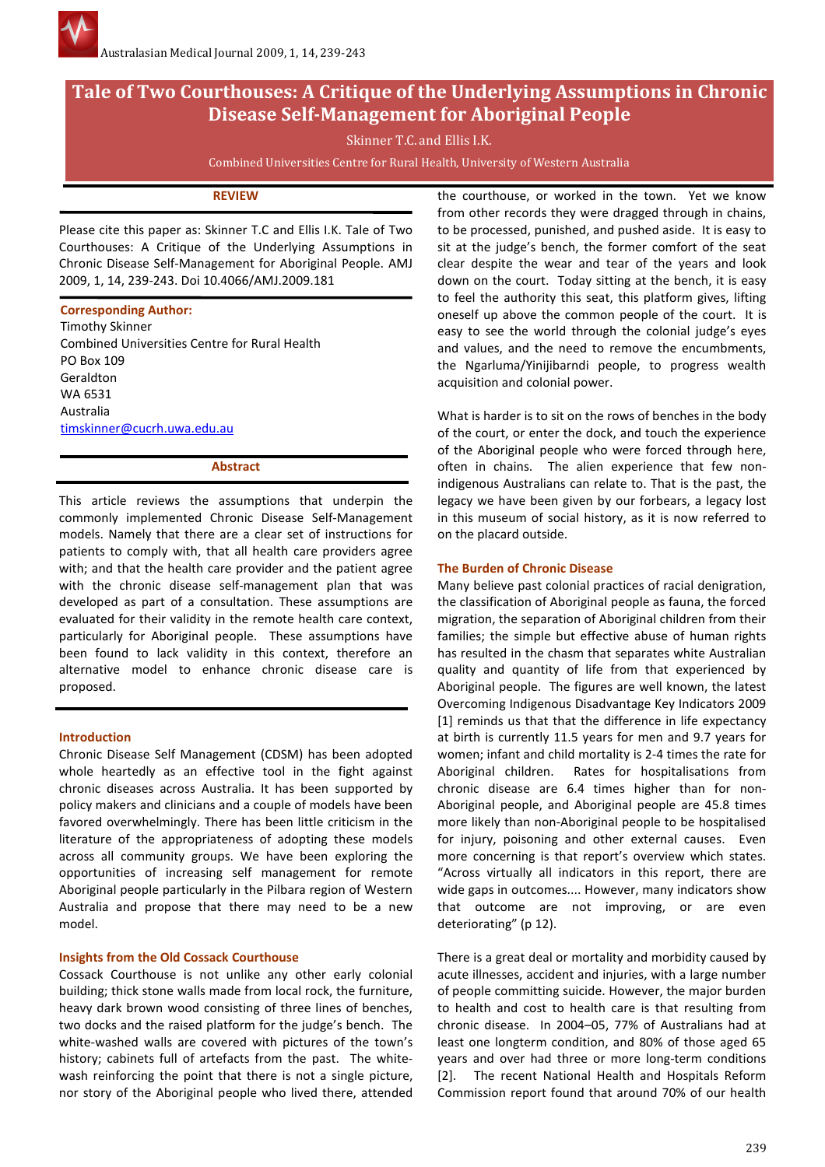# Tale of Two Courthouses: A Critique of the Underlying Assumptions in Chronic Disease Self-Management for Aboriginal People

Skinner T.C. and Ellis I.K.

Combined Universities Centre for Rural Health, University of Western Australia

## REVIEW

Please cite this paper as: Skinner T.C and Ellis I.K. Tale of Two Courthouses: A Critique of the Underlying Assumptions in Chronic Disease Self-Management for Aboriginal People. AMJ 2009, 1, 14, 239-243. Doi 10.4066/AMJ.2009.181

## Corresponding Author:

Timothy Skinner Combined Universities Centre for Rural Health PO Box 109 Geraldton WA 6531 Australia timskinner@cucrh.uwa.edu.au

## Abstract

This article reviews the assumptions that underpin the commonly implemented Chronic Disease Self-Management models. Namely that there are a clear set of instructions for patients to comply with, that all health care providers agree with; and that the health care provider and the patient agree with the chronic disease self-management plan that was developed as part of a consultation. These assumptions are evaluated for their validity in the remote health care context, particularly for Aboriginal people. These assumptions have been found to lack validity in this context, therefore an alternative model to enhance chronic disease care is proposed.

#### Introduction

Chronic Disease Self Management (CDSM) has been adopted whole heartedly as an effective tool in the fight against chronic diseases across Australia. It has been supported by policy makers and clinicians and a couple of models have been favored overwhelmingly. There has been little criticism in the literature of the appropriateness of adopting these models across all community groups. We have been exploring the opportunities of increasing self management for remote Aboriginal people particularly in the Pilbara region of Western Australia and propose that there may need to be a new model.

## Insights from the Old Cossack Courthouse

Cossack Courthouse is not unlike any other early colonial building; thick stone walls made from local rock, the furniture, heavy dark brown wood consisting of three lines of benches, two docks and the raised platform for the judge's bench. The white-washed walls are covered with pictures of the town's history; cabinets full of artefacts from the past. The whitewash reinforcing the point that there is not a single picture, nor story of the Aboriginal people who lived there, attended the courthouse, or worked in the town. Yet we know from other records they were dragged through in chains, to be processed, punished, and pushed aside. It is easy to sit at the judge's bench, the former comfort of the seat clear despite the wear and tear of the years and look down on the court. Today sitting at the bench, it is easy to feel the authority this seat, this platform gives, lifting oneself up above the common people of the court. It is easy to see the world through the colonial judge's eyes and values, and the need to remove the encumbments, the Ngarluma/Yinijibarndi people, to progress wealth acquisition and colonial power.

What is harder is to sit on the rows of benches in the body of the court, or enter the dock, and touch the experience of the Aboriginal people who were forced through here, often in chains. The alien experience that few nonindigenous Australians can relate to. That is the past, the legacy we have been given by our forbears, a legacy lost in this museum of social history, as it is now referred to on the placard outside.

## The Burden of Chronic Disease

Many believe past colonial practices of racial denigration, the classification of Aboriginal people as fauna, the forced migration, the separation of Aboriginal children from their families; the simple but effective abuse of human rights has resulted in the chasm that separates white Australian quality and quantity of life from that experienced by Aboriginal people. The figures are well known, the latest Overcoming Indigenous Disadvantage Key Indicators 2009 [1] reminds us that that the difference in life expectancy at birth is currently 11.5 years for men and 9.7 years for women; infant and child mortality is 2-4 times the rate for Aboriginal children. Rates for hospitalisations from chronic disease are 6.4 times higher than for non-Aboriginal people, and Aboriginal people are 45.8 times more likely than non-Aboriginal people to be hospitalised for injury, poisoning and other external causes. Even more concerning is that report's overview which states. "Across virtually all indicators in this report, there are wide gaps in outcomes.... However, many indicators show that outcome are not improving, or are even deteriorating" (p 12).

There is a great deal or mortality and morbidity caused by acute illnesses, accident and injuries, with a large number of people committing suicide. However, the major burden to health and cost to health care is that resulting from chronic disease. In 2004–05, 77% of Australians had at least one longterm condition, and 80% of those aged 65 years and over had three or more long-term conditions [2]. The recent National Health and Hospitals Reform Commission report found that around 70% of our health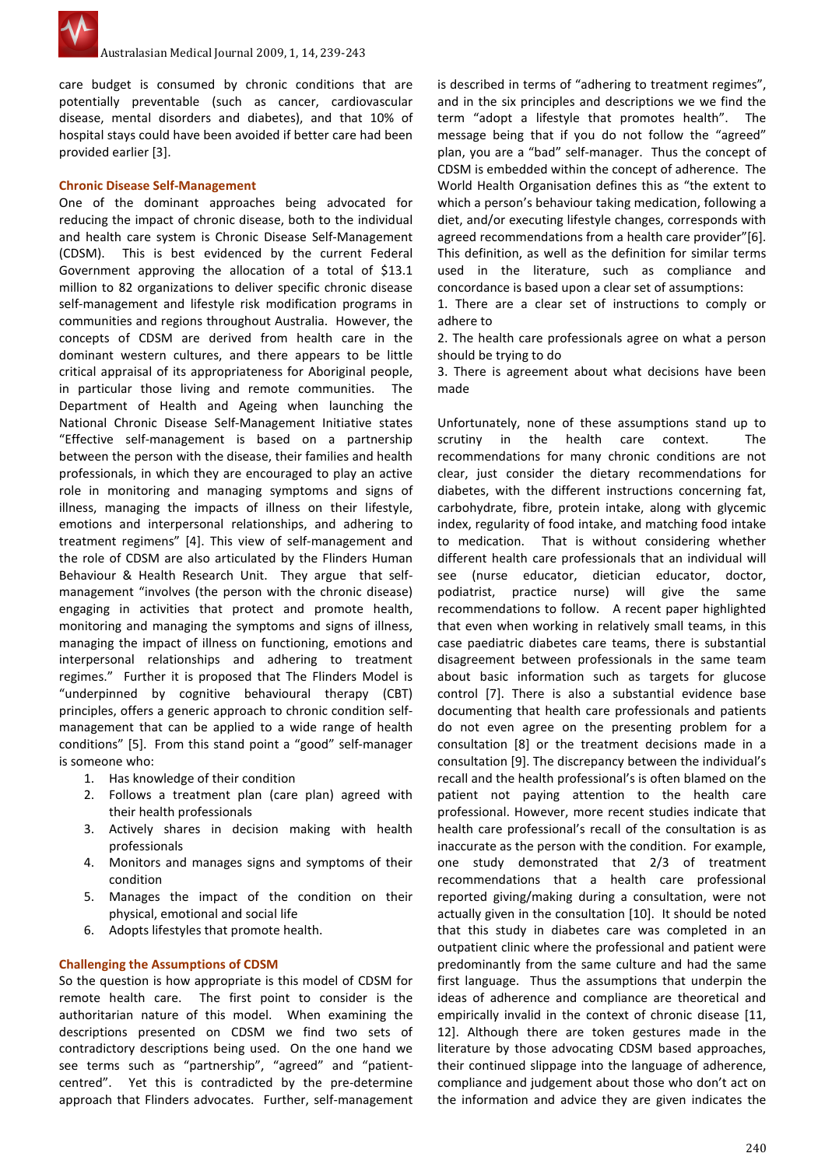

care budget is consumed by chronic conditions that are potentially preventable (such as cancer, cardiovascular disease, mental disorders and diabetes), and that 10% of hospital stays could have been avoided if better care had been provided earlier [3].

#### Chronic Disease Self-Management

One of the dominant approaches being advocated for reducing the impact of chronic disease, both to the individual and health care system is Chronic Disease Self-Management (CDSM). This is best evidenced by the current Federal Government approving the allocation of a total of \$13.1 million to 82 organizations to deliver specific chronic disease self-management and lifestyle risk modification programs in communities and regions throughout Australia. However, the concepts of CDSM are derived from health care in the dominant western cultures, and there appears to be little critical appraisal of its appropriateness for Aboriginal people, in particular those living and remote communities. The Department of Health and Ageing when launching the National Chronic Disease Self-Management Initiative states "Effective self-management is based on a partnership between the person with the disease, their families and health professionals, in which they are encouraged to play an active role in monitoring and managing symptoms and signs of illness, managing the impacts of illness on their lifestyle, emotions and interpersonal relationships, and adhering to treatment regimens" [4]. This view of self-management and the role of CDSM are also articulated by the Flinders Human Behaviour & Health Research Unit. They argue that selfmanagement "involves (the person with the chronic disease) engaging in activities that protect and promote health, monitoring and managing the symptoms and signs of illness, managing the impact of illness on functioning, emotions and interpersonal relationships and adhering to treatment regimes." Further it is proposed that The Flinders Model is "underpinned by cognitive behavioural therapy (CBT) principles, offers a generic approach to chronic condition selfmanagement that can be applied to a wide range of health conditions" [5]. From this stand point a "good" self-manager is someone who:

- 1. Has knowledge of their condition
- 2. Follows a treatment plan (care plan) agreed with their health professionals
- 3. Actively shares in decision making with health professionals
- 4. Monitors and manages signs and symptoms of their condition
- 5. Manages the impact of the condition on their physical, emotional and social life
- 6. Adopts lifestyles that promote health.

#### Challenging the Assumptions of CDSM

So the question is how appropriate is this model of CDSM for remote health care. The first point to consider is the authoritarian nature of this model. When examining the descriptions presented on CDSM we find two sets of contradictory descriptions being used. On the one hand we see terms such as "partnership", "agreed" and "patientcentred". Yet this is contradicted by the pre-determine approach that Flinders advocates. Further, self-management is described in terms of "adhering to treatment regimes", and in the six principles and descriptions we we find the term "adopt a lifestyle that promotes health". The message being that if you do not follow the "agreed" plan, you are a "bad" self-manager. Thus the concept of CDSM is embedded within the concept of adherence. The World Health Organisation defines this as "the extent to which a person's behaviour taking medication, following a diet, and/or executing lifestyle changes, corresponds with agreed recommendations from a health care provider"[6]. This definition, as well as the definition for similar terms used in the literature, such as compliance and concordance is based upon a clear set of assumptions:

1. There are a clear set of instructions to comply or adhere to

2. The health care professionals agree on what a person should be trying to do

3. There is agreement about what decisions have been made

Unfortunately, none of these assumptions stand up to scrutiny in the health care context. The recommendations for many chronic conditions are not clear, just consider the dietary recommendations for diabetes, with the different instructions concerning fat, carbohydrate, fibre, protein intake, along with glycemic index, regularity of food intake, and matching food intake to medication. That is without considering whether different health care professionals that an individual will see (nurse educator, dietician educator, doctor, podiatrist, practice nurse) will give the same recommendations to follow. A recent paper highlighted that even when working in relatively small teams, in this case paediatric diabetes care teams, there is substantial disagreement between professionals in the same team about basic information such as targets for glucose control [7]. There is also a substantial evidence base documenting that health care professionals and patients do not even agree on the presenting problem for a consultation [8] or the treatment decisions made in a consultation [9]. The discrepancy between the individual's recall and the health professional's is often blamed on the patient not paying attention to the health care professional. However, more recent studies indicate that health care professional's recall of the consultation is as inaccurate as the person with the condition. For example, one study demonstrated that 2/3 of treatment recommendations that a health care professional reported giving/making during a consultation, were not actually given in the consultation [10]. It should be noted that this study in diabetes care was completed in an outpatient clinic where the professional and patient were predominantly from the same culture and had the same first language. Thus the assumptions that underpin the ideas of adherence and compliance are theoretical and empirically invalid in the context of chronic disease [11, 12]. Although there are token gestures made in the literature by those advocating CDSM based approaches, their continued slippage into the language of adherence, compliance and judgement about those who don't act on the information and advice they are given indicates the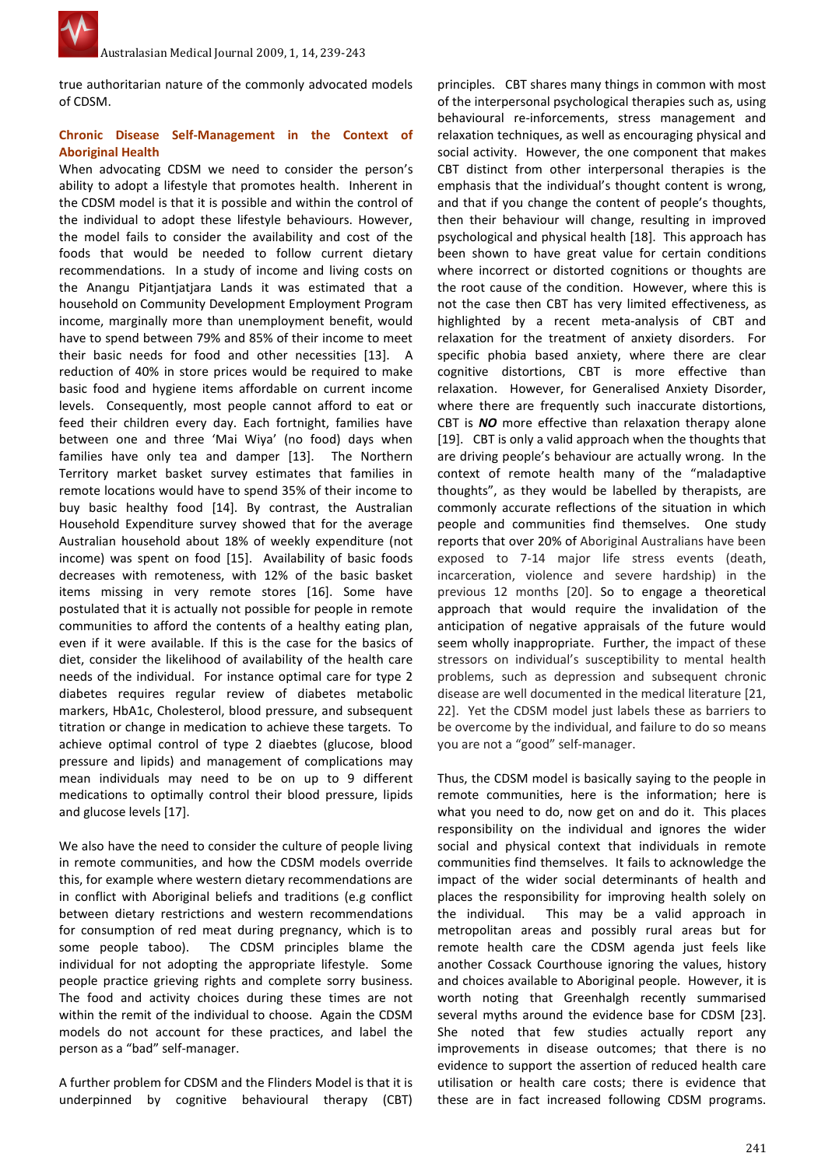true authoritarian nature of the commonly advocated models of CDSM.

## Chronic Disease Self-Management in the Context of Aboriginal Health

When advocating CDSM we need to consider the person's ability to adopt a lifestyle that promotes health. Inherent in the CDSM model is that it is possible and within the control of the individual to adopt these lifestyle behaviours. However, the model fails to consider the availability and cost of the foods that would be needed to follow current dietary recommendations. In a study of income and living costs on the Anangu Pitjantjatjara Lands it was estimated that a household on Community Development Employment Program income, marginally more than unemployment benefit, would have to spend between 79% and 85% of their income to meet their basic needs for food and other necessities [13]. A reduction of 40% in store prices would be required to make basic food and hygiene items affordable on current income levels. Consequently, most people cannot afford to eat or feed their children every day. Each fortnight, families have between one and three 'Mai Wiya' (no food) days when families have only tea and damper [13]. The Northern Territory market basket survey estimates that families in remote locations would have to spend 35% of their income to buy basic healthy food [14]. By contrast, the Australian Household Expenditure survey showed that for the average Australian household about 18% of weekly expenditure (not income) was spent on food [15]. Availability of basic foods decreases with remoteness, with 12% of the basic basket items missing in very remote stores [16]. Some have postulated that it is actually not possible for people in remote communities to afford the contents of a healthy eating plan, even if it were available. If this is the case for the basics of diet, consider the likelihood of availability of the health care needs of the individual. For instance optimal care for type 2 diabetes requires regular review of diabetes metabolic markers, HbA1c, Cholesterol, blood pressure, and subsequent titration or change in medication to achieve these targets. To achieve optimal control of type 2 diaebtes (glucose, blood pressure and lipids) and management of complications may mean individuals may need to be on up to 9 different medications to optimally control their blood pressure, lipids and glucose levels [17].

We also have the need to consider the culture of people living in remote communities, and how the CDSM models override this, for example where western dietary recommendations are in conflict with Aboriginal beliefs and traditions (e.g conflict between dietary restrictions and western recommendations for consumption of red meat during pregnancy, which is to some people taboo). The CDSM principles blame the individual for not adopting the appropriate lifestyle. Some people practice grieving rights and complete sorry business. The food and activity choices during these times are not within the remit of the individual to choose. Again the CDSM models do not account for these practices, and label the person as a "bad" self-manager.

A further problem for CDSM and the Flinders Model is that it is underpinned by cognitive behavioural therapy (CBT) principles. CBT shares many things in common with most of the interpersonal psychological therapies such as, using behavioural re-inforcements, stress management and relaxation techniques, as well as encouraging physical and social activity. However, the one component that makes CBT distinct from other interpersonal therapies is the emphasis that the individual's thought content is wrong, and that if you change the content of people's thoughts, then their behaviour will change, resulting in improved psychological and physical health [18]. This approach has been shown to have great value for certain conditions where incorrect or distorted cognitions or thoughts are the root cause of the condition. However, where this is not the case then CBT has very limited effectiveness, as highlighted by a recent meta-analysis of CBT and relaxation for the treatment of anxiety disorders. For specific phobia based anxiety, where there are clear cognitive distortions, CBT is more effective than relaxation. However, for Generalised Anxiety Disorder, where there are frequently such inaccurate distortions, CBT is **NO** more effective than relaxation therapy alone [19]. CBT is only a valid approach when the thoughts that are driving people's behaviour are actually wrong. In the context of remote health many of the "maladaptive thoughts", as they would be labelled by therapists, are commonly accurate reflections of the situation in which people and communities find themselves. One study reports that over 20% of Aboriginal Australians have been exposed to 7-14 major life stress events (death, incarceration, violence and severe hardship) in the previous 12 months [20]. So to engage a theoretical approach that would require the invalidation of the anticipation of negative appraisals of the future would seem wholly inappropriate. Further, the impact of these stressors on individual's susceptibility to mental health problems, such as depression and subsequent chronic disease are well documented in the medical literature [21, 22]. Yet the CDSM model just labels these as barriers to be overcome by the individual, and failure to do so means you are not a "good" self-manager.

Thus, the CDSM model is basically saying to the people in remote communities, here is the information; here is what you need to do, now get on and do it. This places responsibility on the individual and ignores the wider social and physical context that individuals in remote communities find themselves. It fails to acknowledge the impact of the wider social determinants of health and places the responsibility for improving health solely on the individual. This may be a valid approach in metropolitan areas and possibly rural areas but for remote health care the CDSM agenda just feels like another Cossack Courthouse ignoring the values, history and choices available to Aboriginal people. However, it is worth noting that Greenhalgh recently summarised several myths around the evidence base for CDSM [23]. She noted that few studies actually report any improvements in disease outcomes; that there is no evidence to support the assertion of reduced health care utilisation or health care costs; there is evidence that these are in fact increased following CDSM programs.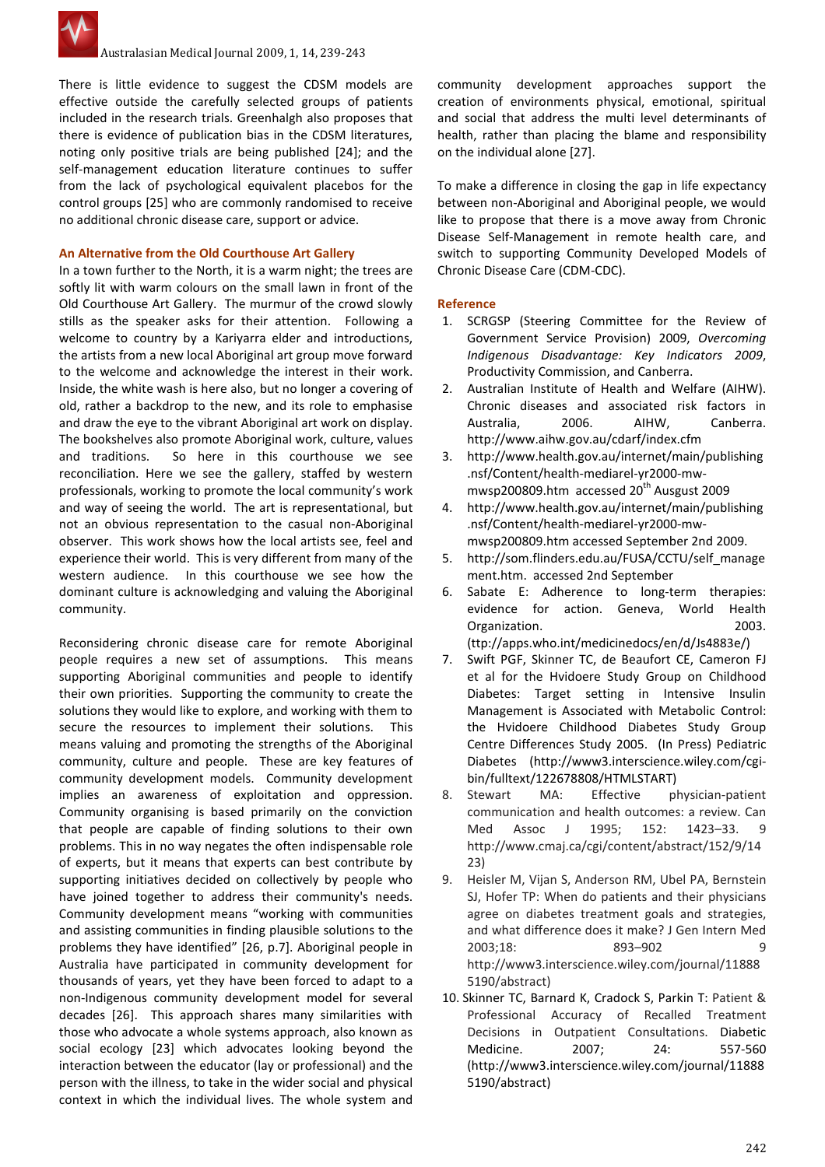

There is little evidence to suggest the CDSM models are effective outside the carefully selected groups of patients included in the research trials. Greenhalgh also proposes that there is evidence of publication bias in the CDSM literatures, noting only positive trials are being published [24]; and the self-management education literature continues to suffer from the lack of psychological equivalent placebos for the control groups [25] who are commonly randomised to receive no additional chronic disease care, support or advice.

#### An Alternative from the Old Courthouse Art Gallery

In a town further to the North, it is a warm night; the trees are softly lit with warm colours on the small lawn in front of the Old Courthouse Art Gallery. The murmur of the crowd slowly stills as the speaker asks for their attention. Following a welcome to country by a Kariyarra elder and introductions, the artists from a new local Aboriginal art group move forward to the welcome and acknowledge the interest in their work. Inside, the white wash is here also, but no longer a covering of old, rather a backdrop to the new, and its role to emphasise and draw the eye to the vibrant Aboriginal art work on display. The bookshelves also promote Aboriginal work, culture, values and traditions. So here in this courthouse we see reconciliation. Here we see the gallery, staffed by western professionals, working to promote the local community's work and way of seeing the world. The art is representational, but not an obvious representation to the casual non-Aboriginal observer. This work shows how the local artists see, feel and experience their world. This is very different from many of the western audience. In this courthouse we see how the dominant culture is acknowledging and valuing the Aboriginal community.

Reconsidering chronic disease care for remote Aboriginal people requires a new set of assumptions. This means supporting Aboriginal communities and people to identify their own priorities. Supporting the community to create the solutions they would like to explore, and working with them to secure the resources to implement their solutions. This means valuing and promoting the strengths of the Aboriginal community, culture and people. These are key features of community development models. Community development implies an awareness of exploitation and oppression. Community organising is based primarily on the conviction that people are capable of finding solutions to their own problems. This in no way negates the often indispensable role of experts, but it means that experts can best contribute by supporting initiatives decided on collectively by people who have joined together to address their community's needs. Community development means "working with communities and assisting communities in finding plausible solutions to the problems they have identified" [26, p.7]. Aboriginal people in Australia have participated in community development for thousands of years, yet they have been forced to adapt to a non-Indigenous community development model for several decades [26]. This approach shares many similarities with those who advocate a whole systems approach, also known as social ecology [23] which advocates looking beyond the interaction between the educator (lay or professional) and the person with the illness, to take in the wider social and physical context in which the individual lives. The whole system and

community development approaches support the creation of environments physical, emotional, spiritual and social that address the multi level determinants of health, rather than placing the blame and responsibility on the individual alone [27].

To make a difference in closing the gap in life expectancy between non-Aboriginal and Aboriginal people, we would like to propose that there is a move away from Chronic Disease Self-Management in remote health care, and switch to supporting Community Developed Models of Chronic Disease Care (CDM-CDC).

#### Reference

- 1. SCRGSP (Steering Committee for the Review of Government Service Provision) 2009, Overcoming Indigenous Disadvantage: Key Indicators 2009, Productivity Commission, and Canberra.
- 2. Australian Institute of Health and Welfare (AIHW). Chronic diseases and associated risk factors in Australia, 2006. AIHW, Canberra. http://www.aihw.gov.au/cdarf/index.cfm
- 3. http://www.health.gov.au/internet/main/publishing .nsf/Content/health-mediarel-yr2000-mwmwsp200809.htm accessed  $20<sup>th</sup>$  Ausgust 2009
- 4. http://www.health.gov.au/internet/main/publishing .nsf/Content/health-mediarel-yr2000-mwmwsp200809.htm accessed September 2nd 2009.
- 5. http://som.flinders.edu.au/FUSA/CCTU/self\_manage ment.htm. accessed 2nd September
- 6. Sabate E: Adherence to long-term therapies: evidence for action. Geneva, World Health Organization. 2003. (ttp://apps.who.int/medicinedocs/en/d/Js4883e/)
- 7. Swift PGF, Skinner TC, de Beaufort CE, Cameron FJ et al for the Hvidoere Study Group on Childhood Diabetes: Target setting in Intensive Insulin Management is Associated with Metabolic Control: the Hvidoere Childhood Diabetes Study Group Centre Differences Study 2005. (In Press) Pediatric Diabetes (http://www3.interscience.wiley.com/cgibin/fulltext/122678808/HTMLSTART)
- 8. Stewart MA: Effective physician-patient communication and health outcomes: a review. Can Med Assoc J 1995; 152: 1423–33. 9 http://www.cmaj.ca/cgi/content/abstract/152/9/14 23)
- 9. Heisler M, Vijan S, Anderson RM, Ubel PA, Bernstein SJ, Hofer TP: When do patients and their physicians agree on diabetes treatment goals and strategies, and what difference does it make? J Gen Intern Med 2003;18: 893–902 9 http://www3.interscience.wiley.com/journal/11888 5190/abstract)
- 10. Skinner TC, Barnard K, Cradock S, Parkin T: Patient & Professional Accuracy of Recalled Treatment Decisions in Outpatient Consultations. Diabetic Medicine. 2007; 24: 557-560 (http://www3.interscience.wiley.com/journal/11888 5190/abstract)